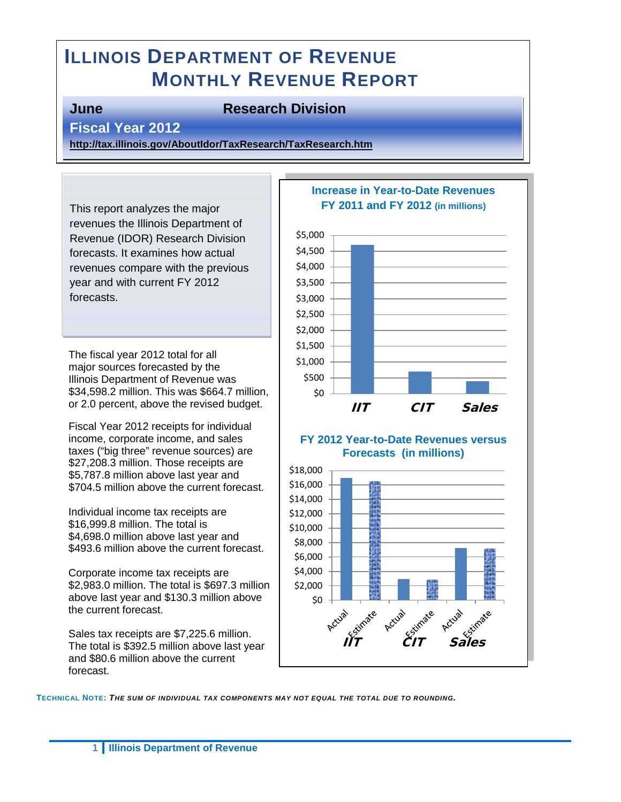# **ILLINOIS DEPARTMENT OF REVENUE MONTHLY REVENUE REPORT**

#### **June Research Division**

#### **Fiscal Year 2012**

**<http://tax.illinois.gov/AboutIdor/TaxResearch/TaxResearch.htm>**

This report analyzes the major revenues the Illinois Department of Revenue (IDOR) Research Division forecasts. It examines how actual revenues compare with the previous year and with current FY 2012 forecasts.

The fiscal year 2012 total for all major sources forecasted by the Illinois Department of Revenue was \$34,598.2 million. This was \$664.7 million, or 2.0 percent, above the revised budget.

Fiscal Year 2012 receipts for individual income, corporate income, and sales taxes ("big three" revenue sources) are \$27,208.3 million. Those receipts are \$5,787.8 million above last year and \$704.5 million above the current forecast.

Individual income tax receipts are \$16,999.8 million. The total is \$4,698.0 million above last year and \$493.6 million above the current forecast.

Corporate income tax receipts are \$2,983.0 million. The total is \$697.3 million above last year and \$130.3 million above the current forecast.

Sales tax receipts are \$7,225.6 million. The total is \$392.5 million above last year and \$80.6 million above the current forecast.



**TECHNICAL NOTE:** *THE SUM OF INDIVIDUAL TAX COMPONENTS MAY NOT EQUAL THE TOTAL DUE TO ROUNDING.*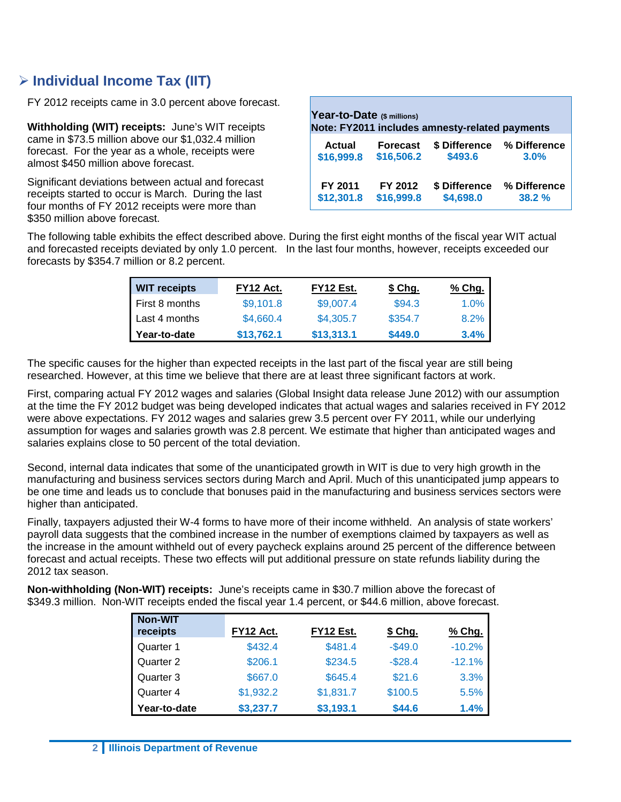## **Individual Income Tax (IIT)**

FY 2012 receipts came in 3.0 percent above forecast.

**Withholding (WIT) receipts:** June's WIT receipts came in \$73.5 million above our \$1,032.4 million forecast. For the year as a whole, receipts were almost \$450 million above forecast.

Significant deviations between actual and forecast receipts started to occur is March. During the last four months of FY 2012 receipts were more than \$350 million above forecast.

| Year-to-Date (\$ millions)<br>Note: FY2011 includes amnesty-related payments |                 |               |              |  |  |
|------------------------------------------------------------------------------|-----------------|---------------|--------------|--|--|
| Actual                                                                       | <b>Forecast</b> | \$ Difference | % Difference |  |  |
| \$16,999.8                                                                   | \$16,506.2      | \$493.6       | 3.0%         |  |  |
| FY 2011                                                                      | FY 2012         | \$ Difference | % Difference |  |  |
| \$12,301.8                                                                   | \$16,999.8      | \$4,698.0     | 38.2 %       |  |  |

The following table exhibits the effect described above. During the first eight months of the fiscal year WIT actual and forecasted receipts deviated by only 1.0 percent. In the last four months, however, receipts exceeded our forecasts by \$354.7 million or 8.2 percent.

| <b>WIT receipts</b> | FY12 Act.  | FY12 Est.  | \$ Chg. | % Chg. |
|---------------------|------------|------------|---------|--------|
| I First 8 months    | \$9,101.8  | \$9,007.4  | \$94.3  | 1.0%   |
| Last 4 months       | \$4,660.4  | \$4,305.7  | \$354.7 | 8.2%   |
| Year-to-date        | \$13,762.1 | \$13,313.1 | \$449.0 | 3.4%   |

The specific causes for the higher than expected receipts in the last part of the fiscal year are still being researched. However, at this time we believe that there are at least three significant factors at work.

First, comparing actual FY 2012 wages and salaries (Global Insight data release June 2012) with our assumption at the time the FY 2012 budget was being developed indicates that actual wages and salaries received in FY 2012 were above expectations. FY 2012 wages and salaries grew 3.5 percent over FY 2011, while our underlying assumption for wages and salaries growth was 2.8 percent. We estimate that higher than anticipated wages and salaries explains close to 50 percent of the total deviation.

Second, internal data indicates that some of the unanticipated growth in WIT is due to very high growth in the manufacturing and business services sectors during March and April. Much of this unanticipated jump appears to be one time and leads us to conclude that bonuses paid in the manufacturing and business services sectors were higher than anticipated.

Finally, taxpayers adjusted their W-4 forms to have more of their income withheld. An analysis of state workers' payroll data suggests that the combined increase in the number of exemptions claimed by taxpayers as well as the increase in the amount withheld out of every paycheck explains around 25 percent of the difference between forecast and actual receipts. These two effects will put additional pressure on state refunds liability during the 2012 tax season.

**Non-withholding (Non-WIT) receipts:** June's receipts came in \$30.7 million above the forecast of \$349.3 million. Non-WIT receipts ended the fiscal year 1.4 percent, or \$44.6 million, above forecast.

| <b>Non-WIT</b><br>receipts | FY12 Act. | FY12 Est. | \$ Chg.    | % Chg.   |
|----------------------------|-----------|-----------|------------|----------|
| Quarter 1                  | \$432.4   | \$481.4   | $-$ \$49.0 | $-10.2%$ |
| Quarter 2                  | \$206.1   | \$234.5   | $-$28.4$   | $-12.1%$ |
| Quarter 3                  | \$667.0   | \$645.4   | \$21.6     | 3.3%     |
| Quarter 4                  | \$1,932.2 | \$1,831.7 | \$100.5    | 5.5%     |
| Year-to-date               | \$3,237.7 | \$3,193.1 | \$44.6     | 1.4%     |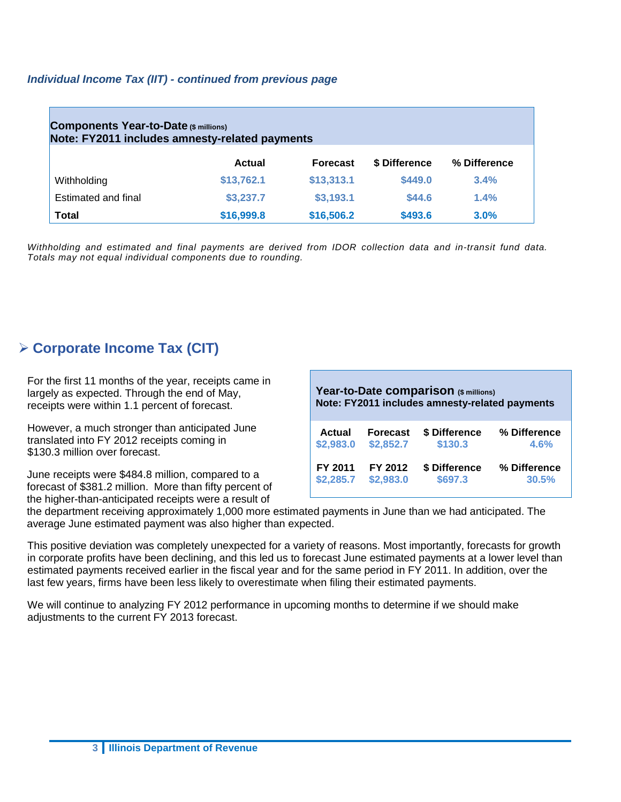#### *Individual Income Tax (IIT) - continued from previous page*

| <b>Components Year-to-Date (\$ millions)</b><br>Note: FY2011 includes amnesty-related payments |            |                 |               |              |  |
|------------------------------------------------------------------------------------------------|------------|-----------------|---------------|--------------|--|
|                                                                                                | Actual     | <b>Forecast</b> | \$ Difference | % Difference |  |
| Withholding                                                                                    | \$13,762.1 | \$13,313.1      | \$449.0       | 3.4%         |  |
| Estimated and final                                                                            | \$3,237.7  | \$3,193.1       | \$44.6        | 1.4%         |  |
| <b>Total</b>                                                                                   | \$16,999.8 | \$16,506.2      | \$493.6       | 3.0%         |  |

*Withholding and estimated and final payments are derived from IDOR collection data and in-transit fund data. Totals may not equal individual components due to rounding.*

### **Corporate Income Tax (CIT)**

For the first 11 months of the year, receipts came in largely as expected. Through the end of May, receipts were within 1.1 percent of forecast.

However, a much stronger than anticipated June translated into FY 2012 receipts coming in \$130.3 million over forecast.

June receipts were \$484.8 million, compared to a forecast of \$381.2 million. More than fifty percent of the higher-than-anticipated receipts were a result of

| Year-to-Date comparison (\$ millions)<br>Note: FY2011 includes amnesty-related payments |                 |               |              |  |  |
|-----------------------------------------------------------------------------------------|-----------------|---------------|--------------|--|--|
| <b>Actual</b>                                                                           | <b>Forecast</b> | \$ Difference | % Difference |  |  |
| \$2,983.0                                                                               | \$2,852.7       | \$130.3       | 4.6%         |  |  |
| FY 2011                                                                                 | FY 2012         | \$ Difference | % Difference |  |  |
| \$2,285.7                                                                               | \$2,983.0       | \$697.3       | 30.5%        |  |  |

the department receiving approximately 1,000 more estimated payments in June than we had anticipated. The average June estimated payment was also higher than expected.

This positive deviation was completely unexpected for a variety of reasons. Most importantly, forecasts for growth in corporate profits have been declining, and this led us to forecast June estimated payments at a lower level than estimated payments received earlier in the fiscal year and for the same period in FY 2011. In addition, over the last few years, firms have been less likely to overestimate when filing their estimated payments.

We will continue to analyzing FY 2012 performance in upcoming months to determine if we should make adjustments to the current FY 2013 forecast.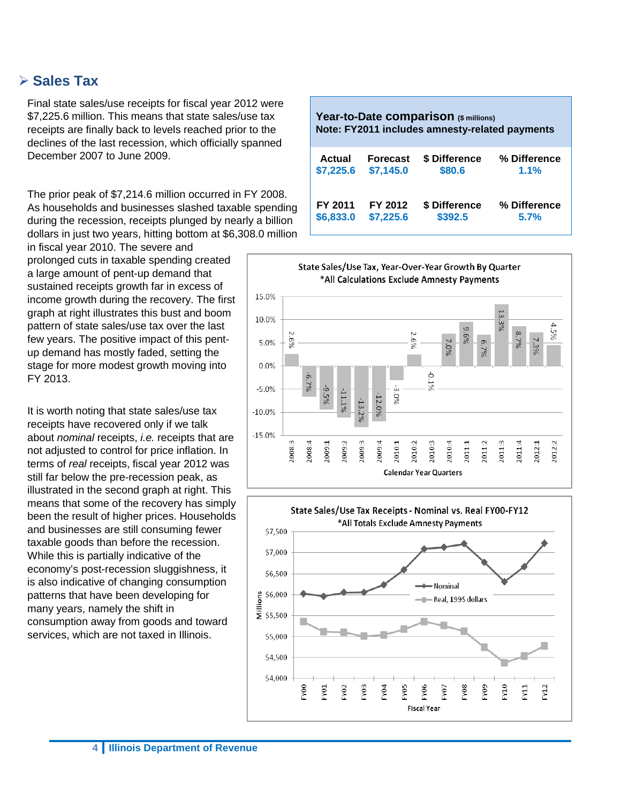#### **Sales Tax**

Final state sales/use receipts for fiscal year 2012 were \$7,225.6 million. This means that state sales/use tax receipts are finally back to levels reached prior to the declines of the last recession, which officially spanned December 2007 to June 2009.

The prior peak of \$7,214.6 million occurred in FY 2008. As households and businesses slashed taxable spending during the recession, receipts plunged by nearly a billion dollars in just two years, hitting bottom at \$6,308.0 million

in fiscal year 2010. The severe and prolonged cuts in taxable spending created a large amount of pent-up demand that sustained receipts growth far in excess of income growth during the recovery. The first graph at right illustrates this bust and boom pattern of state sales/use tax over the last few years. The positive impact of this pentup demand has mostly faded, setting the stage for more modest growth moving into FY 2013.

It is worth noting that state sales/use tax receipts have recovered only if we talk about *nominal* receipts, *i.e.* receipts that are not adjusted to control for price inflation. In terms of *real* receipts, fiscal year 2012 was still far below the pre-recession peak, as illustrated in the second graph at right. This means that some of the recovery has simply been the result of higher prices. Households and businesses are still consuming fewer taxable goods than before the recession. While this is partially indicative of the economy's post-recession sluggishness, it is also indicative of changing consumption patterns that have been developing for many years, namely the shift in consumption away from goods and toward services, which are not taxed in Illinois.

| Year-to-Date comparison (\$ millions)<br>Note: FY2011 includes amnesty-related payments |                 |               |              |  |  |
|-----------------------------------------------------------------------------------------|-----------------|---------------|--------------|--|--|
| Actual                                                                                  | <b>Forecast</b> | \$ Difference | % Difference |  |  |
| \$7,225.6                                                                               | \$7,145.0       | \$80.6        | 1.1%         |  |  |
| FY 2011                                                                                 | FY 2012         | \$ Difference | % Difference |  |  |
| \$6,833.0                                                                               | \$7,225.6       | \$392.5       | 5.7%         |  |  |



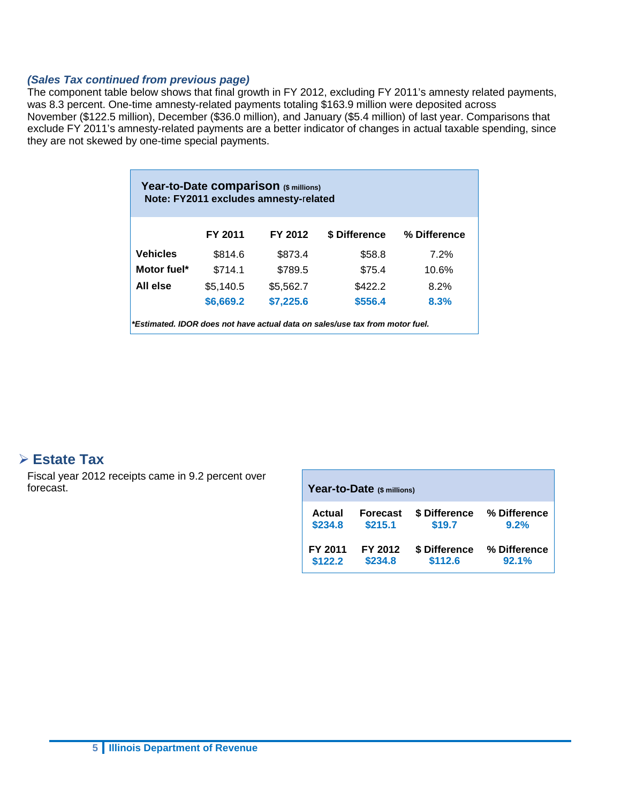#### *(Sales Tax continued from previous page)*

The component table below shows that final growth in FY 2012, excluding FY 2011's amnesty related payments, was 8.3 percent. One-time amnesty-related payments totaling \$163.9 million were deposited across November (\$122.5 million), December (\$36.0 million), and January (\$5.4 million) of last year. Comparisons that exclude FY 2011's amnesty-related payments are a better indicator of changes in actual taxable spending, since they are not skewed by one-time special payments.

| Year-to-Date comparison (\$ millions)<br>Note: FY2011 excludes amnesty-related |           |           |               |              |  |  |
|--------------------------------------------------------------------------------|-----------|-----------|---------------|--------------|--|--|
|                                                                                | FY 2011   | FY 2012   | \$ Difference | % Difference |  |  |
| <b>Vehicles</b>                                                                | \$814.6   | \$873.4   | \$58.8        | 7.2%         |  |  |
| Motor fuel*                                                                    | \$714.1   | \$789.5   | \$75.4        | 10.6%        |  |  |
| All else                                                                       | \$5,140.5 | \$5,562.7 | \$422.2       | 8.2%         |  |  |
|                                                                                | \$6,669.2 | \$7,225.6 | \$556.4       | 8.3%         |  |  |
| *Estimated. IDOR does not have actual data on sales/use tax from motor fuel.   |           |           |               |              |  |  |

#### **Estate Tax**

Fiscal year 2012 receipts came in 9.2 percent over forecast.

| Year-to-Date (\$ millions) |                 |               |              |  |  |
|----------------------------|-----------------|---------------|--------------|--|--|
| Actual                     | <b>Forecast</b> | \$ Difference | % Difference |  |  |
| \$234.8                    | \$215.1         | \$19.7        | 9.2%         |  |  |
| FY 2011                    | FY 2012         | \$ Difference | % Difference |  |  |
| \$122.2                    | \$234.8         | \$112.6       | 92.1%        |  |  |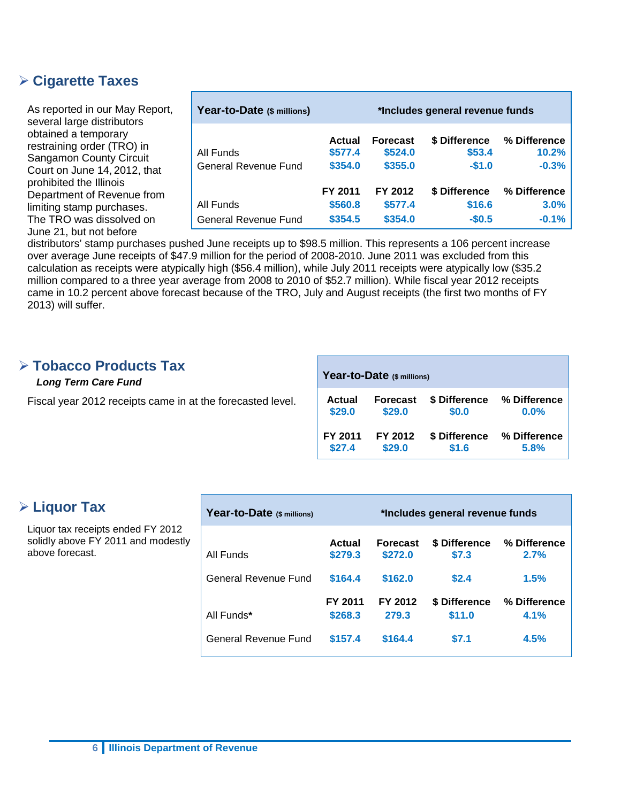#### **Cigarette Taxes**

As reported in our May Report, several large distributors obtained a temporary restraining order (TRO) in Sangamon County Circuit Court on June 14, 2012, that prohibited the Illinois Department of Revenue from limiting stamp purchases. The TRO was dissolved on June 21, but not before

| Year-to-Date (\$ millions)        |                               |                                       | *Includes general revenue funds    |                                  |
|-----------------------------------|-------------------------------|---------------------------------------|------------------------------------|----------------------------------|
| All Funds<br>General Revenue Fund | Actual<br>\$577.4<br>\$354.0  | <b>Forecast</b><br>\$524.0<br>\$355.0 | \$ Difference<br>\$53.4<br>$-$1.0$ | % Difference<br>10.2%<br>$-0.3%$ |
| All Funds<br>General Revenue Fund | FY 2011<br>\$560.8<br>\$354.5 | FY 2012<br>\$577.4<br>\$354.0         | \$ Difference<br>\$16.6<br>$-$0.5$ | % Difference<br>3.0%<br>$-0.1%$  |

distributors' stamp purchases pushed June receipts up to \$98.5 million. This represents a 106 percent increase over average June receipts of \$47.9 million for the period of 2008-2010. June 2011 was excluded from this calculation as receipts were atypically high (\$56.4 million), while July 2011 receipts were atypically low (\$35.2 million compared to a three year average from 2008 to 2010 of \$52.7 million). While fiscal year 2012 receipts came in 10.2 percent above forecast because of the TRO, July and August receipts (the first two months of FY 2013) will suffer.

#### **Tobacco Products Tax**

#### *Long Term Care Fund*

Fiscal year 2012 receipts came in at the forecasted level.

| Year-to-Date (\$ millions) |                 |               |              |  |  |
|----------------------------|-----------------|---------------|--------------|--|--|
| <b>Actual</b>              | <b>Forecast</b> | \$ Difference | % Difference |  |  |
| \$29.0                     | \$29.0          | \$0.0         | 0.0%         |  |  |
| FY 2011                    | FY 2012         | \$ Difference | % Difference |  |  |
| \$27.4                     | \$29.0          | \$1.6         | 5.8%         |  |  |

#### **Liquor Tax**

Liquor tax receipts ended FY 2012 solidly above FY 2011 and modestly above forecast.

| Year-to-Date (\$ millions) |                    | *Includes general revenue funds |                         |                      |
|----------------------------|--------------------|---------------------------------|-------------------------|----------------------|
| All Funds                  | Actual<br>\$279.3  | <b>Forecast</b><br>\$272.0      | \$ Difference<br>\$7.3  | % Difference<br>2.7% |
| General Revenue Fund       | \$164.4            | \$162.0                         | \$2.4                   | 1.5%                 |
| All Funds*                 | FY 2011<br>\$268.3 | FY 2012<br>279.3                | \$ Difference<br>\$11.0 | % Difference<br>4.1% |
| General Revenue Fund       | \$157.4            | \$164.4                         | \$7.1                   | 4.5%                 |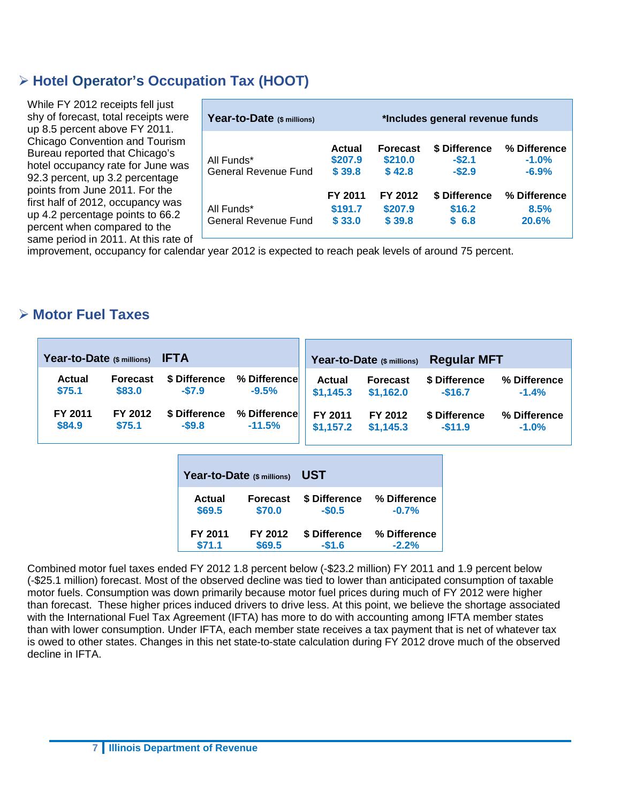## **Hotel Operator's Occupation Tax (HOOT)**

While FY 2012 receipts fell just shy of forecast, total receipts were up 8.5 percent above FY 2011. Chicago Convention and Tourism Bureau reported that Chicago's hotel occupancy rate for June was 92.3 percent, up 3.2 percentage points from June 2011. For the first half of 2012, occupancy was up 4.2 percentage points to 66.2 percent when compared to the same period in 2011. At this rate of

| Year-to-Date (\$ millions)                |                              | *Includes general revenue funds      |                                     |                                    |
|-------------------------------------------|------------------------------|--------------------------------------|-------------------------------------|------------------------------------|
| All Funds*<br><b>General Revenue Fund</b> | Actual<br>\$207.9<br>\$39.8  | <b>Forecast</b><br>\$210.0<br>\$42.8 | \$ Difference<br>$-$2.1$<br>$-$2.9$ | % Difference<br>$-1.0%$<br>$-6.9%$ |
| All Funds*<br>General Revenue Fund        | FY 2011<br>\$191.7<br>\$33.0 | FY 2012<br>\$207.9<br>\$39.8         | \$ Difference<br>\$16.2<br>\$6.8    | % Difference<br>8.5%<br>20.6%      |

improvement, occupancy for calendar year 2012 is expected to reach peak levels of around 75 percent.

#### **Motor Fuel Taxes**

|               | Year-to-Date $(s)$ millions) IFTA |               |              | <b>Regular MFT</b><br>Year-to-Date (\$ millions) |                 |               |              |  |
|---------------|-----------------------------------|---------------|--------------|--------------------------------------------------|-----------------|---------------|--------------|--|
| <b>Actual</b> | <b>Forecast</b>                   | \$ Difference | % Difference | <b>Actual</b>                                    | <b>Forecast</b> | \$ Difference | % Difference |  |
| \$75.1        | \$83.0                            | $-57.9$       | $-9.5%$      | \$1,145.3                                        | \$1,162.0       | $-$16.7$      | $-1.4%$      |  |
| FY 2011       | FY 2012                           | \$ Difference | % Difference | FY 2011                                          | FY 2012         | \$ Difference | % Difference |  |
| \$84.9        | \$75.1                            | $-$ \$9.8     | $-11.5%$     | \$1,157.2                                        | \$1.145.3       | $-$11.9$      | $-1.0%$      |  |

|                | Year-to-Date (\$ millions) | UST           |              |  |  |  |  |
|----------------|----------------------------|---------------|--------------|--|--|--|--|
| Actual         | <b>Forecast</b>            | \$ Difference | % Difference |  |  |  |  |
| \$69.5         | \$70.0                     | $-$0.5$       | $-0.7%$      |  |  |  |  |
| <b>FY 2011</b> | FY 2012                    | \$ Difference | % Difference |  |  |  |  |
| \$71.1         | \$69.5                     | $-$1.6$       | $-2.2%$      |  |  |  |  |

Combined motor fuel taxes ended FY 2012 1.8 percent below (-\$23.2 million) FY 2011 and 1.9 percent below (-\$25.1 million) forecast. Most of the observed decline was tied to lower than anticipated consumption of taxable motor fuels. Consumption was down primarily because motor fuel prices during much of FY 2012 were higher than forecast. These higher prices induced drivers to drive less. At this point, we believe the shortage associated with the International Fuel Tax Agreement (IFTA) has more to do with accounting among IFTA member states than with lower consumption. Under IFTA, each member state receives a tax payment that is net of whatever tax is owed to other states. Changes in this net state-to-state calculation during FY 2012 drove much of the observed decline in IFTA.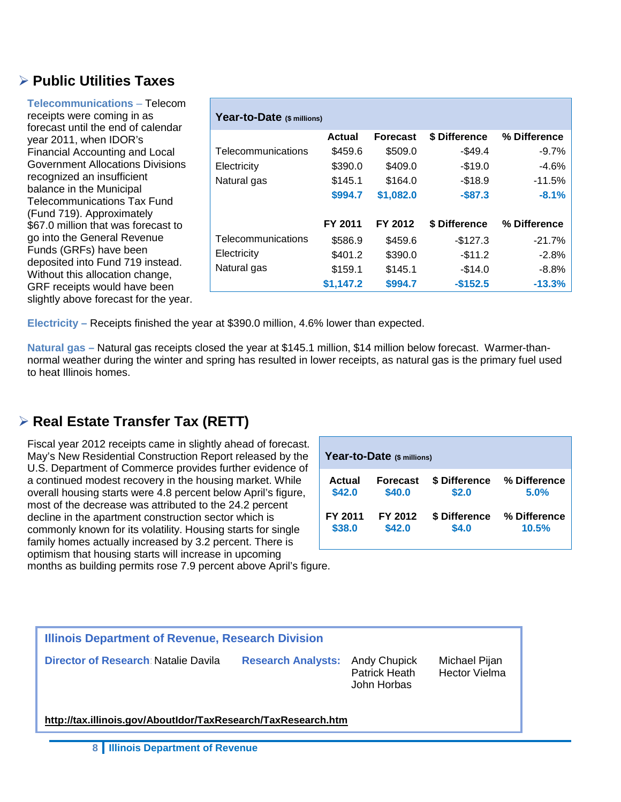### **Public Utilities Taxes**

| <b>Telecommunications - Telecom</b><br>receipts were coming in as<br>forecast until the end of calendar | Year-to-Date (\$ millions) |           |                 |               |              |  |  |  |
|---------------------------------------------------------------------------------------------------------|----------------------------|-----------|-----------------|---------------|--------------|--|--|--|
| year 2011, when IDOR's                                                                                  |                            | Actual    | <b>Forecast</b> | \$ Difference | % Difference |  |  |  |
| <b>Financial Accounting and Local</b>                                                                   | Telecommunications         | \$459.6   | \$509.0         | $-$49.4$      | -9.7%        |  |  |  |
| <b>Government Allocations Divisions</b>                                                                 | Electricity                | \$390.0   | \$409.0         | $-$19.0$      | $-4.6%$      |  |  |  |
| recognized an insufficient                                                                              | Natural gas                | \$145.1   | \$164.0         | $-$18.9$      | $-11.5%$     |  |  |  |
| balance in the Municipal<br><b>Telecommunications Tax Fund</b>                                          |                            | \$994.7   | \$1,082.0       | $-$ \$87.3    | $-8.1%$      |  |  |  |
| (Fund 719). Approximately<br>\$67.0 million that was forecast to                                        |                            | FY 2011   | FY 2012         | \$ Difference | % Difference |  |  |  |
| go into the General Revenue                                                                             | Telecommunications         | \$586.9   | \$459.6         | $-$127.3$     | $-21.7%$     |  |  |  |
| Funds (GRFs) have been                                                                                  | Electricity                | \$401.2   | \$390.0         | $-$11.2$      | $-2.8%$      |  |  |  |
| deposited into Fund 719 instead.<br>Without this allocation change,                                     | Natural gas                | \$159.1   | \$145.1         | $-\$14.0$     | $-8.8%$      |  |  |  |
| GRF receipts would have been                                                                            |                            | \$1,147.2 | \$994.7         | $-$152.5$     | $-13.3%$     |  |  |  |
| slightly above forecast for the year.                                                                   |                            |           |                 |               |              |  |  |  |

**Electricity –** Receipts finished the year at \$390.0 million, 4.6% lower than expected.

**Natural gas –** Natural gas receipts closed the year at \$145.1 million, \$14 million below forecast. Warmer-thannormal weather during the winter and spring has resulted in lower receipts, as natural gas is the primary fuel used to heat Illinois homes.

## **Real Estate Transfer Tax (RETT)**

Fiscal year 2012 receipts came in slightly ahead of forecast. May's New Residential Construction Report released by the U.S. Department of Commerce provides further evidence of a continued modest recovery in the housing market. While overall housing starts were 4.8 percent below April's figure, most of the decrease was attributed to the 24.2 percent decline in the apartment construction sector which is commonly known for its volatility. Housing starts for single family homes actually increased by 3.2 percent. There is optimism that housing starts will increase in upcoming months as building permits rose 7.9 percent above April's figure.

| Year-to-Date (\$ millions) |                 |               |              |  |  |  |  |  |  |  |  |
|----------------------------|-----------------|---------------|--------------|--|--|--|--|--|--|--|--|
| Actual                     | <b>Forecast</b> | \$ Difference | % Difference |  |  |  |  |  |  |  |  |
| \$42.0                     | \$40.0          | \$2.0         | 5.0%         |  |  |  |  |  |  |  |  |
| FY 2011                    | FY 2012         | \$ Difference | % Difference |  |  |  |  |  |  |  |  |
| \$38.0                     | \$42.0          | \$4.0         | 10.5%        |  |  |  |  |  |  |  |  |

| Illinois Department of Revenue, Research Division             |                                                                           |                                       |  |  |  |  |  |  |  |
|---------------------------------------------------------------|---------------------------------------------------------------------------|---------------------------------------|--|--|--|--|--|--|--|
| Director of Research Natalie Davila                           | <b>Research Analysts:</b><br>Andy Chupick<br>Patrick Heath<br>John Horbas | Michael Pijan<br><b>Hector Vielma</b> |  |  |  |  |  |  |  |
| http://tax.illinois.gov/AboutIdor/TaxResearch/TaxResearch.htm |                                                                           |                                       |  |  |  |  |  |  |  |